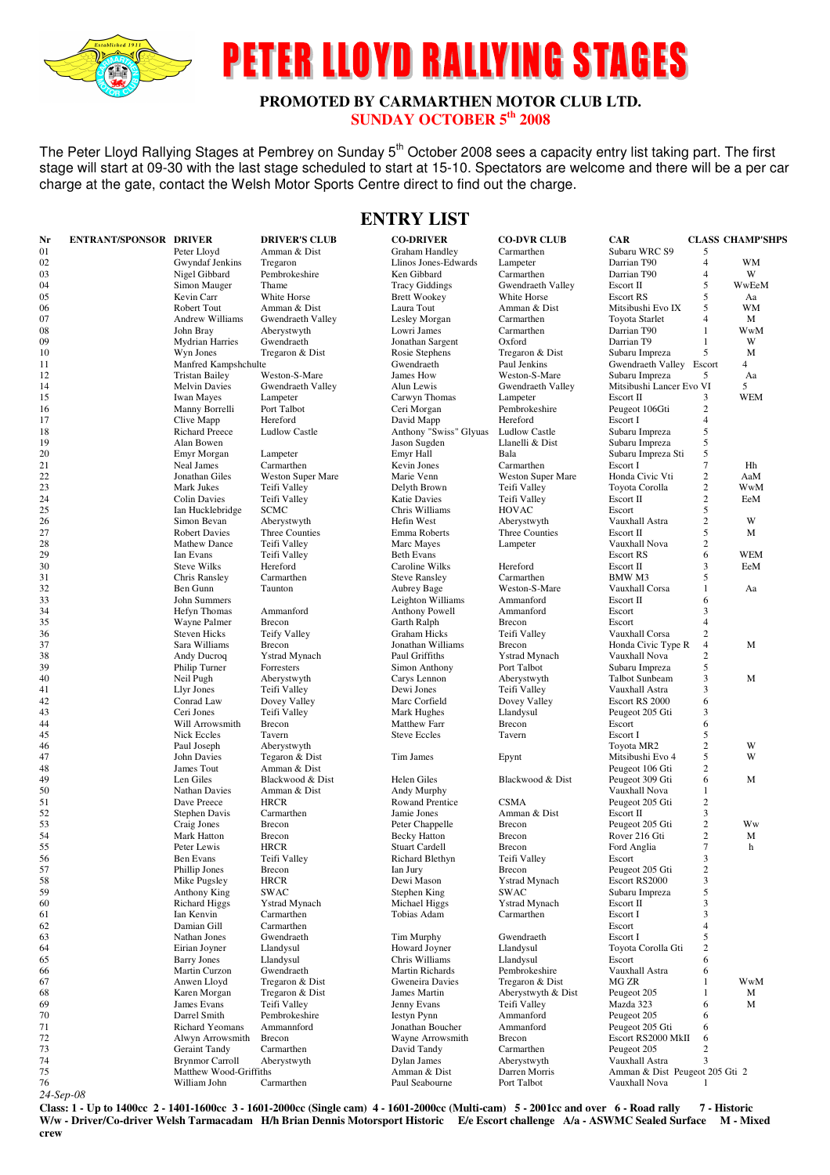

# **PETER LLOYD RALLYING STAGES**

#### **PROMOTED BY CARMARTHEN MOTOR CLUB LTD. SUNDAY OCTOBER 5th 2008**

The Peter Lloyd Rallying Stages at Pembrey on Sunday 5<sup>th</sup> October 2008 sees a capacity entry list taking part. The first stage will start at 09-30 with the last stage scheduled to start at 15-10. Spectators are welcome and there will be a per car charge at the gate, contact the Welsh Motor Sports Centre direct to find out the charge.

### **ENTRY LIST**

| Nr        | <b>ENTRANT/SPONSOR DRIVER</b> |                                     | <b>DRIVER'S CLUB</b>                                                                                                                                       | <b>CO-DRIVER</b>                | <b>CO-DVR CLUB</b>        | <b>CAR</b>                            |                  | <b>CLASS CHAMP'SHPS</b> |
|-----------|-------------------------------|-------------------------------------|------------------------------------------------------------------------------------------------------------------------------------------------------------|---------------------------------|---------------------------|---------------------------------------|------------------|-------------------------|
| 01        |                               | Peter Lloyd                         | Amman & Dist                                                                                                                                               | <b>Graham Handley</b>           | Carmarthen                | Subaru WRC S9                         | 5                |                         |
| 02        |                               | Gwyndaf Jenkins                     | Tregaron                                                                                                                                                   | Llinos Jones-Edwards            | Lampeter                  | Darrian T90                           | $\overline{4}$   | <b>WM</b>               |
| 03        |                               | Nigel Gibbard                       | Pembrokeshire                                                                                                                                              | Ken Gibbard                     | Carmarthen                | Darrian T90                           | 4                | W                       |
| 04        |                               | Simon Mauger                        | Thame                                                                                                                                                      | <b>Tracy Giddings</b>           | Gwendraeth Valley         | Escort II                             | 5                | WwEeM                   |
| 05        |                               | Kevin Carr                          | White Horse                                                                                                                                                | <b>Brett Wookey</b>             | White Horse               | <b>Escort RS</b>                      | 5                | Aa                      |
| 06        |                               | Robert Tout                         | Amman & Dist                                                                                                                                               | Laura Tout                      | Amman & Dist              | Mitsibushi Evo IX                     | 5                | <b>WM</b>               |
| 07        |                               | <b>Andrew Williams</b>              | Gwendraeth Valley                                                                                                                                          | Lesley Morgan                   | Carmarthen                | Toyota Starlet                        | 4                | M                       |
| 08        |                               | John Bray                           | Aberystwyth                                                                                                                                                | Lowri James                     | Carmarthen                | Darrian T90                           | 1                | WwM                     |
| 09        |                               | <b>Mydrian Harries</b>              | Gwendraeth                                                                                                                                                 | Jonathan Sargent                | Oxford                    | Darrian T9                            | $\mathbf{1}$     | W                       |
| 10        |                               | Wyn Jones                           | Tregaron & Dist                                                                                                                                            | Rosie Stephens                  | Tregaron & Dist           | Subaru Impreza                        | 5                | M                       |
| 11        |                               | Manfred Kampshchulte                |                                                                                                                                                            | Gwendraeth                      | Paul Jenkins              | Gwendraeth Valley Escort              |                  | $\overline{4}$          |
| 12        |                               | <b>Tristan Bailey</b>               | Weston-S-Mare                                                                                                                                              | James How                       | Weston-S-Mare             | Subaru Impreza                        | 5                | Aa                      |
| 14<br>15  |                               | <b>Melvin Davies</b>                | Gwendraeth Valley<br>Lampeter                                                                                                                              | Alun Lewis                      | Gwendraeth Valley         | Mitsibushi Lancer Evo VI<br>Escort II | 3                | 5<br><b>WEM</b>         |
| 16        |                               | <b>Iwan Mayes</b>                   | Port Talbot                                                                                                                                                | Carwyn Thomas                   | Lampeter<br>Pembrokeshire |                                       | 2                |                         |
| 17        |                               | Manny Borrelli<br>Clive Mapp        | Hereford                                                                                                                                                   | Ceri Morgan<br>David Mapp       | Hereford                  | Peugeot 106Gti<br>Escort I            | $\overline{4}$   |                         |
| 18        |                               | <b>Richard Preece</b>               | <b>Ludlow Castle</b>                                                                                                                                       | Anthony "Swiss" Glyuas          | <b>Ludlow Castle</b>      | Subaru Impreza                        | 5                |                         |
| 19        |                               | Alan Bowen                          |                                                                                                                                                            | Jason Sugden                    | Llanelli & Dist           | Subaru Impreza                        | 5                |                         |
| 20        |                               | Emyr Morgan                         | Lampeter                                                                                                                                                   | Emyr Hall                       | Bala                      | Subaru Impreza Sti                    | 5                |                         |
| 21        |                               | Neal James                          | Carmarthen                                                                                                                                                 | Kevin Jones                     | Carmarthen                | Escort I                              | $\tau$           | Hh                      |
| 22        |                               | Jonathan Giles                      | <b>Weston Super Mare</b>                                                                                                                                   | Marie Venn                      | <b>Weston Super Mare</b>  | Honda Civic Vti                       | $\boldsymbol{2}$ | AaM                     |
| 23        |                               | Mark Jukes                          | Teifi Valley                                                                                                                                               | Delyth Brown                    | Teifi Valley              | Toyota Corolla                        | $\sqrt{2}$       | WwM                     |
| 24        |                               | <b>Colin Davies</b>                 | Teifi Valley                                                                                                                                               | <b>Katie Davies</b>             | Teifi Valley              | Escort II                             | $\mathfrak{2}$   | EeM                     |
| 25        |                               | Ian Hucklebridge                    | <b>SCMC</b>                                                                                                                                                | Chris Williams                  | <b>HOVAC</b>              | Escort                                | 5                |                         |
| 26        |                               | Simon Bevan                         | Aberystwyth                                                                                                                                                | Hefin West                      | Aberystwyth               | Vauxhall Astra                        | $\boldsymbol{2}$ | W                       |
| 27        |                               | <b>Robert Davies</b>                | Three Counties                                                                                                                                             | Emma Roberts                    | Three Counties            | Escort II                             | 5                | M                       |
| 28        |                               | <b>Mathew Dance</b>                 | Teifi Valley                                                                                                                                               | Marc Mayes                      | Lampeter                  | Vauxhall Nova                         | $\mathbf{2}$     |                         |
| 29        |                               | Ian Evans                           | Teifi Valley                                                                                                                                               | <b>Beth Evans</b>               |                           | <b>Escort RS</b>                      | 6                | <b>WEM</b>              |
| 30        |                               | <b>Steve Wilks</b>                  | Hereford                                                                                                                                                   | Caroline Wilks                  | Hereford                  | Escort II                             | 3                | EeM                     |
| 31        |                               | Chris Ransley                       | Carmarthen                                                                                                                                                 | <b>Steve Ransley</b>            | Carmarthen                | BMW M3                                | 5                |                         |
| 32        |                               | Ben Gunn                            | Taunton                                                                                                                                                    | Aubrey Bage                     | Weston-S-Mare             | Vauxhall Corsa                        | -1               | Aa                      |
| 33        |                               | <b>John Summers</b>                 |                                                                                                                                                            | Leighton Williams               | Ammanford                 | Escort II                             | 6                |                         |
| 34        |                               | <b>Hefyn Thomas</b>                 | Ammanford                                                                                                                                                  | Anthony Powell                  | Ammanford                 | Escort                                | 3                |                         |
| 35        |                               | Wayne Palmer                        | Brecon                                                                                                                                                     | Garth Ralph                     | Brecon                    | Escort                                | $\overline{4}$   |                         |
| 36        |                               | <b>Steven Hicks</b>                 | <b>Teify Valley</b>                                                                                                                                        | <b>Graham Hicks</b>             | Teifi Valley              | Vauxhall Corsa                        | $\overline{c}$   |                         |
| 37        |                               | Sara Williams                       | Brecon                                                                                                                                                     | Jonathan Williams               | Brecon                    | Honda Civic Type R                    | 4                | M                       |
| 38        |                               | Andy Ducroq                         | Ystrad Mynach                                                                                                                                              | Paul Griffiths                  | <b>Ystrad Mynach</b>      | Vauxhall Nova                         | $\overline{c}$   |                         |
| 39        |                               | Philip Turner                       | Forresters                                                                                                                                                 | Simon Anthony                   | Port Talbot               | Subaru Impreza                        | 5                |                         |
| 40        |                               | Neil Pugh                           | Aberystwyth                                                                                                                                                | Carys Lennon                    | Aberystwyth               | <b>Talbot Sunbeam</b>                 | 3                | M                       |
| 41<br>42  |                               | Llyr Jones<br>Conrad Law            | Teifi Valley                                                                                                                                               | Dewi Jones<br>Marc Corfield     | Teifi Valley              | Vauxhall Astra                        | 3<br>6           |                         |
| 43        |                               | Ceri Jones                          | Dovey Valley<br>Teifi Valley                                                                                                                               | Mark Hughes                     | Dovey Valley<br>Llandysul | Escort RS 2000<br>Peugeot 205 Gti     | 3                |                         |
| 44        |                               | Will Arrowsmith                     | Brecon                                                                                                                                                     | Matthew Farr                    | Brecon                    | Escort                                | 6                |                         |
| 45        |                               | Nick Eccles                         | Tavern                                                                                                                                                     | <b>Steve Eccles</b>             | Tavern                    | Escort I                              | 5                |                         |
| 46        |                               | Paul Joseph                         | Aberystwyth                                                                                                                                                |                                 |                           | Toyota MR2                            | $\sqrt{2}$       | W                       |
| 47        |                               | John Davies                         | Tegaron & Dist                                                                                                                                             | Tim James                       | Epynt                     | Mitsibushi Evo 4                      | 5                | W                       |
| 48        |                               | James Tout                          | Amman & Dist                                                                                                                                               |                                 |                           | Peugeot 106 Gti                       | $\overline{2}$   |                         |
| 49        |                               | Len Giles                           | Blackwood & Dist                                                                                                                                           | Helen Giles                     | Blackwood & Dist          | Peugeot 309 Gti                       | 6                | M                       |
| 50        |                               | <b>Nathan Davies</b>                | Amman & Dist                                                                                                                                               | Andy Murphy                     |                           | Vauxhall Nova                         | 1                |                         |
| 51        |                               | Dave Preece                         | <b>HRCR</b>                                                                                                                                                | Rowand Prentice                 | <b>CSMA</b>               | Peugeot 205 Gti                       | $\mathbf{2}$     |                         |
| 52        |                               | Stephen Davis                       | Carmarthen                                                                                                                                                 | Jamie Jones                     | Amman & Dist              | Escort II                             | 3                |                         |
| 53        |                               | Craig Jones                         | Brecon                                                                                                                                                     | Peter Chappelle                 | Brecon                    | Peugeot 205 Gti                       | $\mathbf{2}$     | Ww                      |
| 54        |                               | Mark Hatton                         | Brecon                                                                                                                                                     | <b>Becky Hatton</b>             | Brecon                    | Rover 216 Gti                         | $\mathbf{2}$     | M                       |
| 55        |                               | Peter Lewis                         | <b>HRCR</b>                                                                                                                                                | <b>Stuart Cardell</b>           | <b>Brecon</b>             | Ford Anglia                           | 7                | h                       |
| 56        |                               | Ben Evans                           | Teifi Valley                                                                                                                                               | Richard Blethyn                 | Teifi Valley              | Escort                                | 3                |                         |
| 57        |                               | Phillip Jones                       | Brecon                                                                                                                                                     | Ian Jury                        | Brecon                    | Peugeot 205 Gti                       | $\sqrt{2}$       |                         |
| 58        |                               | Mike Pugsley                        | <b>HRCR</b>                                                                                                                                                | Dewi Mason                      | <b>Ystrad Mynach</b>      | Escort RS2000                         | 3                |                         |
| 59        |                               | Anthony King                        | <b>SWAC</b>                                                                                                                                                | Stephen King                    | SWAC                      | Subaru Impreza                        | 5                |                         |
| 60        |                               | <b>Richard Higgs</b>                | Ystrad Mynach                                                                                                                                              | Michael Higgs                   | <b>Ystrad Mynach</b>      | Escort II                             | 3                |                         |
| 61        |                               | Ian Kenvin                          | Carmarthen                                                                                                                                                 | Tobias Adam                     | Carmarthen                | Escort I                              | 3                |                         |
| 62        |                               | Damian Gill                         | Carmarthen                                                                                                                                                 |                                 |                           | Escort                                | 4                |                         |
| 63        |                               | Nathan Jones                        | Gwendraeth                                                                                                                                                 | Tim Murphy                      | Gwendraeth                | Escort I                              | 5                |                         |
| 64        |                               | Eirian Joyner                       | Llandysul<br>Llandysul                                                                                                                                     | Howard Joyner<br>Chris Williams | Llandysul<br>Llandysul    | Toyota Corolla Gti<br>Escort          | $\boldsymbol{2}$ |                         |
| 65        |                               | <b>Barry Jones</b><br>Martin Curzon | Gwendraeth                                                                                                                                                 | Martin Richards                 | Pembrokeshire             |                                       | 6<br>6           |                         |
| 66<br>67  |                               | Anwen Lloyd                         | Tregaron & Dist                                                                                                                                            | Gweneira Davies                 | Tregaron & Dist           | Vauxhall Astra<br>MG ZR               | 1                | WwM                     |
| 68        |                               | Karen Morgan                        | Tregaron & Dist                                                                                                                                            | James Martin                    | Aberystwyth & Dist        | Peugeot 205                           | 1                | M                       |
| 69        |                               | James Evans                         | Teifi Valley                                                                                                                                               | Jenny Evans                     | Teifi Valley              | Mazda 323                             | 6                | M                       |
| 70        |                               | Darrel Smith                        | Pembrokeshire                                                                                                                                              | <b>Iestyn Pynn</b>              | Ammanford                 | Peugeot 205                           | 6                |                         |
| 71        |                               | Richard Yeomans                     | Ammannford                                                                                                                                                 | Jonathan Boucher                | Ammanford                 | Peugeot 205 Gti                       | 6                |                         |
| 72        |                               | Alwyn Arrowsmith                    | Brecon                                                                                                                                                     | Wayne Arrowsmith                | Brecon                    | Escort RS2000 MkII                    | 6                |                         |
| 73        |                               | Geraint Tandy                       | Carmarthen                                                                                                                                                 | David Tandy                     | Carmarthen                | Peugeot 205                           | 2                |                         |
| 74        |                               | <b>Brynmor Carroll</b>              | Aberystwyth                                                                                                                                                | Dylan James                     | Aberystwyth               | Vauxhall Astra                        | 3                |                         |
| 75        |                               | Matthew Wood-Griffiths              |                                                                                                                                                            | Amman & Dist                    | Darren Morris             | Amman & Dist Peugeot 205 Gti 2        |                  |                         |
| 76        |                               | William John                        | Carmarthen                                                                                                                                                 | Paul Seabourne                  | Port Talbot               | Vauxhall Nova                         |                  |                         |
| 24-Sep-08 |                               |                                     |                                                                                                                                                            |                                 |                           |                                       |                  |                         |
|           |                               |                                     | $C_{\text{losc}}$ , 1, Ib to 1400cc, 2, 1401,1600cc, 3, 1601,2000cc (Single cam), 4, 1601,2000cc (Multi-cam), 5, 2001cc and over 6, Dood rolly 7, Historic |                                 |                           |                                       |                  |                         |

**Class: 1 - Up to 1400cc 2 - 1401-1600cc 3 - 1601-2000cc (Single cam) 4 - 1601-2000cc (Multi-cam) 5 - 2001cc and over 6 - Road rally 7 - Historic W/w - Driver/Co-driver Welsh Tarmacadam H/h Brian Dennis Motorsport Historic E/e Escort challenge A/a - ASWMC Sealed Surface M - Mixed crew**